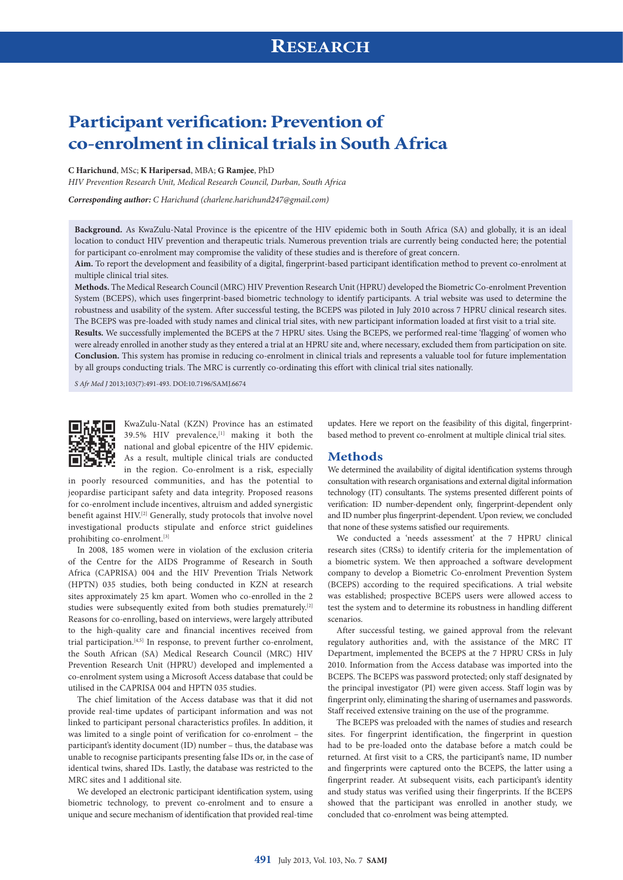# **Participant verification: Prevention of co‑enrolment in clinical trials in South Africa**

#### **C Harichund**, MSc; **K Haripersad**, MBA; **G Ramjee**, PhD

*HIV Prevention Research Unit, Medical Research Council, Durban, South Africa* 

*Corresponding author: C Harichund ([charlene.harichund247@gmail.com\)](mailto:charlene.harichund247@gmail.com)* 

**Background.** As KwaZulu-Natal Province is the epicentre of the HIV epidemic both in South Africa (SA) and globally, it is an ideal location to conduct HIV prevention and therapeutic trials. Numerous prevention trials are currently being conducted here; the potential for participant co-enrolment may compromise the validity of these studies and is therefore of great concern.

**Aim.** To report the development and feasibility of a digital, fingerprint-based participant identification method to prevent co-enrolment at multiple clinical trial sites.

**Methods.** The Medical Research Council (MRC) HIV Prevention Research Unit (HPRU) developed the Biometric Co-enrolment Prevention System (BCEPS), which uses fingerprint-based biometric technology to identify participants. A trial website was used to determine the robustness and usability of the system. After successful testing, the BCEPS was piloted in July 2010 across 7 HPRU clinical research sites. The BCEPS was pre-loaded with study names and clinical trial sites, with new participant information loaded at first visit to a trial site. **Results.** We successfully implemented the BCEPS at the 7 HPRU sites. Using the BCEPS, we performed real-time 'flagging' of women who were already enrolled in another study as they entered a trial at an HPRU site and, where necessary, excluded them from participation on site. **Conclusion.** This system has promise in reducing co-enrolment in clinical trials and represents a valuable tool for future implementation by all groups conducting trials. The MRC is currently co-ordinating this effort with clinical trial sites nationally.

*S Afr Med J* 2013;103(7):491-493. DOI:10.7196/SAMJ.6674



KwaZulu-Natal (KZN) Province has an estimated 39.5% HIV prevalence,<sup>[1]</sup> making it both the national and global epicentre of the HIV epidemic. As a result, multiple clinical trials are conducted in the region. Co-enrolment is a risk, especially

in poorly resourced communities, and has the potential to jeopardise participant safety and data integrity. Proposed reasons for co-enrolment include incentives, altruism and added synergistic benefit against HIV.<sup>[2]</sup> Generally, study protocols that involve novel investigational products stipulate and enforce strict guidelines prohibiting co-enrolment.[3]

In 2008, 185 women were in violation of the exclusion criteria of the Centre for the AIDS Programme of Research in South Africa (CAPRISA) 004 and the HIV Prevention Trials Network (HPTN) 035 studies, both being conducted in KZN at research sites approximately 25 km apart. Women who co-enrolled in the 2 studies were subsequently exited from both studies prematurely.<sup>[2]</sup> Reasons for co-enrolling, based on interviews, were largely attributed to the high-quality care and financial incentives received from trial participation.[4,5] In response, to prevent further co-enrolment, the South African (SA) Medical Research Council (MRC) HIV Prevention Research Unit (HPRU) developed and implemented a co-enrolment system using a Microsoft Access database that could be utilised in the CAPRISA 004 and HPTN 035 studies.

The chief limitation of the Access database was that it did not provide real-time updates of participant information and was not linked to participant personal characteristics profiles. In addition, it was limited to a single point of verification for co-enrolment – the participant's identity document (ID) number – thus, the database was unable to recognise participants presenting false IDs or, in the case of identical twins, shared IDs. Lastly, the database was restricted to the MRC sites and 1 additional site.

We developed an electronic participant identification system, using biometric technology, to prevent co-enrolment and to ensure a unique and secure mechanism of identification that provided real-time updates. Here we report on the feasibility of this digital, fingerprintbased method to prevent co-enrolment at multiple clinical trial sites.

#### **Methods**

We determined the availability of digital identification systems through consultation with research organisations and external digital information technology (IT) consultants. The systems presented different points of verification: ID number-dependent only, fingerprint-dependent only and ID number plus fingerprint-dependent. Upon review, we concluded that none of these systems satisfied our requirements.

We conducted a 'needs assessment' at the 7 HPRU clinical research sites (CRSs) to identify criteria for the implementation of a biometric system. We then approached a software development company to develop a Biometric Co-enrolment Prevention System (BCEPS) according to the required specifications. A trial website was established; prospective BCEPS users were allowed access to test the system and to determine its robustness in handling different scenarios.

After successful testing, we gained approval from the relevant regulatory authorities and, with the assistance of the MRC IT Department, implemented the BCEPS at the 7 HPRU CRSs in July 2010. Information from the Access database was imported into the BCEPS. The BCEPS was password protected; only staff designated by the principal investigator (PI) were given access. Staff login was by fingerprint only, eliminating the sharing of usernames and passwords. Staff received extensive training on the use of the programme.

The BCEPS was preloaded with the names of studies and research sites. For fingerprint identification, the fingerprint in question had to be pre-loaded onto the database before a match could be returned. At first visit to a CRS, the participant's name, ID number and fingerprints were captured onto the BCEPS, the latter using a fingerprint reader. At subsequent visits, each participant's identity and study status was verified using their fingerprints. If the BCEPS showed that the participant was enrolled in another study, we concluded that co-enrolment was being attempted.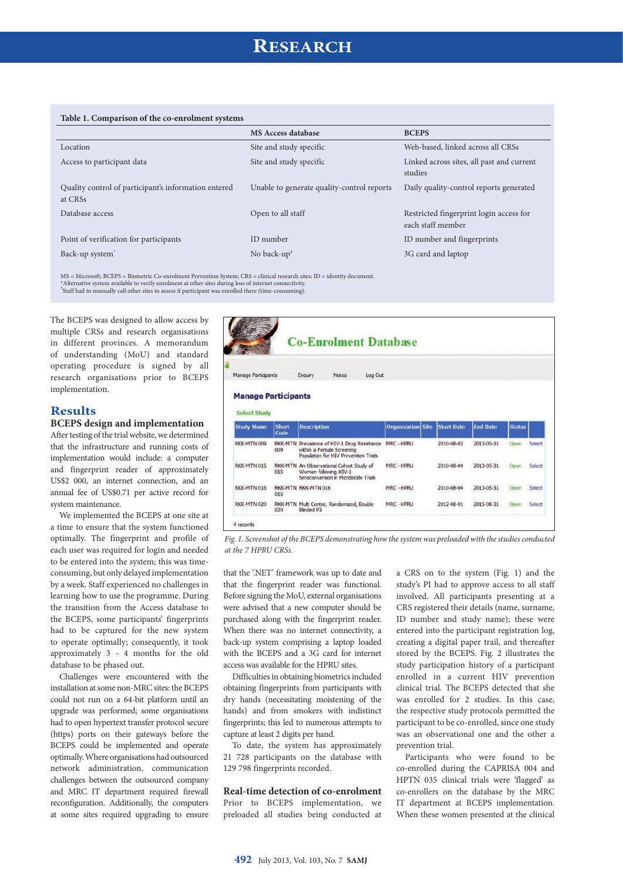## **RESEARCH**

|  |  | Table 1. Comparison of the co-enrolment systems |  |
|--|--|-------------------------------------------------|--|
|--|--|-------------------------------------------------|--|

| $\mathbf{r}$                                                    |                                            |                                                              |
|-----------------------------------------------------------------|--------------------------------------------|--------------------------------------------------------------|
|                                                                 | <b>MS Access database</b>                  | <b>BCEPS</b>                                                 |
| Location                                                        | Site and study specific                    | Web-based, linked across all CRSs                            |
| Access to participant data                                      | Site and study specific                    | Linked across sites, all past and current<br>studies         |
| Quality control of participant's information entered<br>at CRSs | Unable to generate quality-control reports | Daily quality-control reports generated                      |
| Database access                                                 | Open to all staff                          | Restricted fingerprint login access for<br>each staff member |
| Point of verification for participants                          | ID number                                  | ID number and fingerprints                                   |
| Back-up system <sup>*</sup>                                     | No back-up <sup><math>\dagger</math></sup> | 3G card and laptop                                           |

MS = Microsoft; BCEPS = Biometric Co-enrolment Prevention System; CRS = clinical research sites; ID = identity document. \*Alternative system available to verify enrolment at other sites during loss of internet connectivity.

† Staff had to manually call other sites to assess if participant was enrolled there (time-consuming).

The BCEPS was designed to allow access by multiple CRSs and research organisations in different provinces. A memorandum of understanding (MoU) and standard operating procedure is signed by all research organisations prior to BCEPS implementation.

#### **Results**

### **BCEPS design and implementation**

After testing of the trial website, we determined that the infrastructure and running costs of implementation would include: a computer and fingerprint reader of approximately US\$2 000, an internet connection, and an annual fee of US\$0.71 per active record for system maintenance.

We implemented the BCEPS at one site at a time to ensure that the system functioned optimally. The fingerprint and profile of each user was required for login and needed to be entered into the system; this was timeconsuming, but only delayed implementation by a week. Staff experienced no challenges in learning how to use the programme. During the transition from the Access database to the BCEPS, some participants' fingerprints had to be captured for the new system to operate optimally; consequently, it took approximately 3 - 4 months for the old database to be phased out.

Challenges were encountered with the installation at some non-MRC sites: the BCEPS could not run on a 64-bit platform until an upgrade was performed; some organisations had to open hypertext transfer protocol secure (https) ports on their gateways before the BCEPS could be implemented and operate optimally. Where organisations had outsourced network administration, communication challenges between the outsourced company and MRC IT department required firewall reconfiguration. Additionally, the computers at some sites required upgrading to ensure

|                                                 |              | <b>Co-Enrolment Database</b>                                                                                     |         |                          |                   |                 |               |                  |
|-------------------------------------------------|--------------|------------------------------------------------------------------------------------------------------------------|---------|--------------------------|-------------------|-----------------|---------------|------------------|
| <b>Manage Participants</b>                      |              | Enguiry<br><b>Notes</b>                                                                                          | Log Out |                          |                   |                 |               |                  |
| <b>Manage Participants</b>                      |              |                                                                                                                  |         |                          |                   |                 |               |                  |
| <b>Select Study</b>                             | <b>Short</b> | <b>Description</b>                                                                                               |         | <b>Organization Site</b> | <b>Start Date</b> | <b>End Date</b> | <b>Status</b> |                  |
|                                                 | Code<br>009  | RKK-MTN Prevalence of HIV-1 Drug Resistance<br>within a Female Screening<br>Population for HIV Prevention Trials |         | MRC - HPRU               | 2010-08-02        | 2013-05-31      | Open          |                  |
| <b>Study Name</b><br>RKK-MTN 009<br>RKK-MTN 015 | 015          | RKK-MTN An Observational Cohort Study of<br>Women following HIV-1<br>Seroconversion in Microbicide Trials        |         | MRC - HPRU               | 2010-08-04        | 2013-05-31      | Open          | Select<br>Select |
| RKK-MTN 016                                     | 016          | RKK-MTN RKK-MTN 016                                                                                              |         | MRC - HPRU               | 2010-08-04        | 2013-05-31      | Open          | Select           |

*Fig. 1. Screenshot of the BCEPS demonstrating how the system was preloaded with the studies conducted at the 7 HPRU CRSs.* 

that the '.NET' framework was up to date and that the fingerprint reader was functional. Before signing the MoU, external organisations were advised that a new computer should be purchased along with the fingerprint reader. When there was no internet connectivity, a back-up system comprising a laptop loaded with the BCEPS and a 3G card for internet access was available for the HPRU sites.

Difficulties in obtaining biometrics included obtaining fingerprints from participants with dry hands (necessitating moistening of the hands) and from smokers with indistinct fingerprints; this led to numerous attempts to capture at least 2 digits per hand.

To date, the system has approximately 21 728 participants on the database with 129 798 fingerprints recorded.

#### **Real-time detection of co-enrolment**

Prior to BCEPS implementation, we preloaded all studies being conducted at a CRS on to the system (Fig. 1) and the study's PI had to approve access to all staff involved. All participants presenting at a CRS registered their details (name, surname, ID number and study name); these were entered into the participant registration log, creating a digital paper trail, and thereafter stored by the BCEPS. Fig. 2 illustrates the study participation history of a participant enrolled in a current HIV prevention clinical trial. The BCEPS detected that she was enrolled for 2 studies. In this case, the respective study protocols permitted the participant to be co-enrolled, since one study was an observational one and the other a prevention trial.

Participants who were found to be co-enrolled during the CAPRISA 004 and HPTN 035 clinical trials were 'flagged' as co-enrollers on the database by the MRC IT department at BCEPS implementation. When these women presented at the clinical